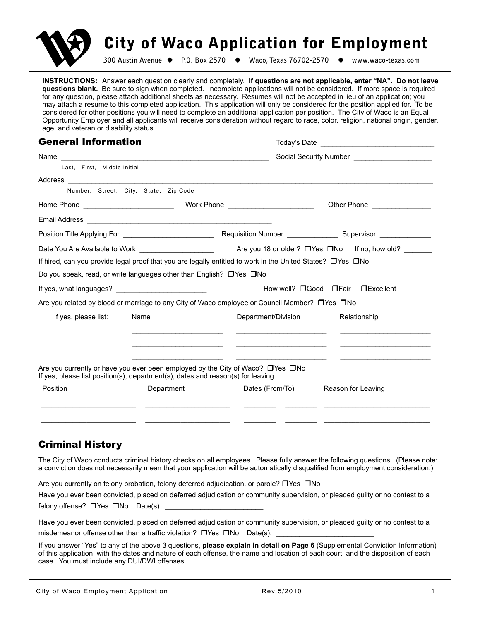

# City of Waco Application for Employment

**300 Austin Avenue P.O. Box 2570 Waco, Texas 76702-2570 www.waco-texas.com**

**INSTRUCTIONS:** Answer each question clearly and completely. **If questions are not applicable, enter "NA". Do not leave questions blank.** Be sure to sign when completed. Incomplete applications will not be considered. If more space is required for any question, please attach additional sheets as necessary. Resumes will not be accepted in lieu of an application; you may attach a resume to this completed application. This application will only be considered for the position applied for. To be considered for other positions you will need to complete an additional application per position. The City of Waco is an Equal Opportunity Employer and all applicants will receive consideration without regard to race, color, religion, national origin, gender, age, and veteran or disability status.

#### General Information and the Coday's Date **Today's Date Toolay's Date**

| Name                        |                                                                                  |                                                                                                              |                                                                                                                                                                                                                                      |  |  |  |
|-----------------------------|----------------------------------------------------------------------------------|--------------------------------------------------------------------------------------------------------------|--------------------------------------------------------------------------------------------------------------------------------------------------------------------------------------------------------------------------------------|--|--|--|
| Last. First. Middle Initial |                                                                                  |                                                                                                              |                                                                                                                                                                                                                                      |  |  |  |
|                             |                                                                                  |                                                                                                              |                                                                                                                                                                                                                                      |  |  |  |
|                             | Number, Street, City, State, Zip Code                                            |                                                                                                              |                                                                                                                                                                                                                                      |  |  |  |
|                             |                                                                                  |                                                                                                              | Other Phone <b>Contract Contract Contract Contract Contract Contract Contract Contract Contract Contract Contract Contract Contract Contract Contract Contract Contract Contract Contract Contract Contract Contract Contract Co</b> |  |  |  |
|                             |                                                                                  |                                                                                                              |                                                                                                                                                                                                                                      |  |  |  |
|                             |                                                                                  |                                                                                                              |                                                                                                                                                                                                                                      |  |  |  |
|                             | Date You Are Available to Work _______________________                           |                                                                                                              | Are you 18 or older? □ Yes □ No If no, how old? ______                                                                                                                                                                               |  |  |  |
|                             |                                                                                  | If hired, can you provide legal proof that you are legally entitled to work in the United States? □ Yes □ No |                                                                                                                                                                                                                                      |  |  |  |
|                             | Do you speak, read, or write languages other than English? □ Yes □ No            |                                                                                                              |                                                                                                                                                                                                                                      |  |  |  |
|                             |                                                                                  |                                                                                                              | How well? □ Good □ Fair □ Excellent                                                                                                                                                                                                  |  |  |  |
|                             |                                                                                  | Are you related by blood or marriage to any City of Waco employee or Council Member? □ Yes □ No              |                                                                                                                                                                                                                                      |  |  |  |
| If yes, please list:        | Name                                                                             | Department/Division                                                                                          | Relationship                                                                                                                                                                                                                         |  |  |  |
|                             |                                                                                  | <u> 1989 - Johann Barbara, martin amerikan per</u>                                                           |                                                                                                                                                                                                                                      |  |  |  |
|                             | If yes, please list position(s), department(s), dates and reason(s) for leaving. | Are you currently or have you ever been employed by the City of Waco? $\Box$ Yes $\Box$ No                   |                                                                                                                                                                                                                                      |  |  |  |
| Position                    | Department                                                                       | Dates (From/To)                                                                                              | Reason for Leaving                                                                                                                                                                                                                   |  |  |  |
|                             |                                                                                  |                                                                                                              |                                                                                                                                                                                                                                      |  |  |  |
|                             |                                                                                  |                                                                                                              |                                                                                                                                                                                                                                      |  |  |  |
|                             |                                                                                  |                                                                                                              |                                                                                                                                                                                                                                      |  |  |  |

# Criminal History

The City of Waco conducts criminal history checks on all employees. Please fully answer the following questions. (Please note: a conviction does not necessarily mean that your application will be automatically disqualified from employment consideration.)

Are you currently on felony probation, felony deferred adjudication, or parole?  $\Box$  Yes  $\Box$  No

Have you ever been convicted, placed on deferred adjudication or community supervision, or pleaded guilty or no contest to a felony offense?  $\Box$  Yes  $\Box$  No  $\Box$  Date(s): \_

| Have you ever been convicted, placed on deferred adjudication or community supervision, or pleaded guilty or no contest to a |  |
|------------------------------------------------------------------------------------------------------------------------------|--|
| misdemeanor offense other than a traffic violation? $\Box$ Yes $\Box$ No $\Box$ Date(s):                                     |  |

If you answer "Yes" to any of the above 3 questions, **please explain in detail on Page 6** (Supplemental Conviction Information) of this application, with the dates and nature of each offense, the name and location of each court, and the disposition of each case. You must include any DUI/DWI offenses.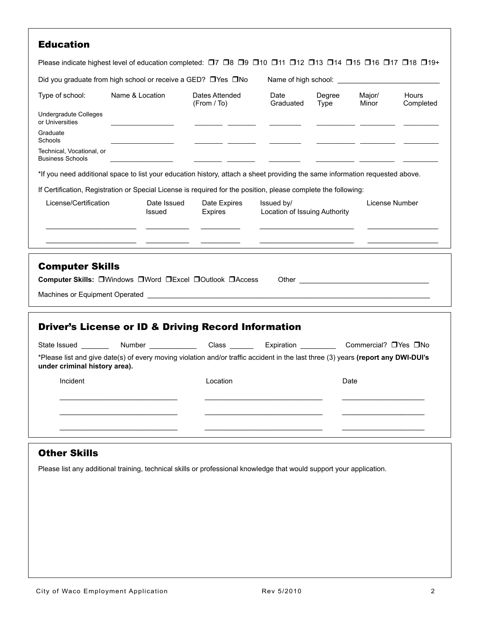|                                                        | Did you graduate from high school or receive a GED? □ Yes □ No                                                                    |                                |                   |                               |                                        |                    |  |
|--------------------------------------------------------|-----------------------------------------------------------------------------------------------------------------------------------|--------------------------------|-------------------|-------------------------------|----------------------------------------|--------------------|--|
|                                                        |                                                                                                                                   |                                |                   |                               |                                        |                    |  |
| Type of school:                                        | Name & Location                                                                                                                   | Dates Attended<br>(From / To)  | Date<br>Graduated | Degree<br>Type                | Major/<br>Minor                        | Hours<br>Completed |  |
| <b>Undergradute Colleges</b><br>or Universities        |                                                                                                                                   |                                |                   |                               |                                        |                    |  |
| Graduate<br>Schools                                    |                                                                                                                                   |                                |                   |                               |                                        |                    |  |
| Technical, Vocational, or<br><b>Business Schools</b>   |                                                                                                                                   |                                |                   |                               |                                        |                    |  |
|                                                        | *If you need additional space to list your education history, attach a sheet providing the same information requested above.      |                                |                   |                               |                                        |                    |  |
|                                                        | If Certification, Registration or Special License is required for the position, please complete the following:                    |                                |                   |                               |                                        |                    |  |
| License/Certification                                  | Date Issued<br>Issued                                                                                                             | Date Expires<br><b>Expires</b> | Issued by/        | Location of Issuing Authority |                                        | License Number     |  |
|                                                        |                                                                                                                                   |                                |                   |                               |                                        |                    |  |
|                                                        |                                                                                                                                   |                                |                   |                               |                                        |                    |  |
|                                                        |                                                                                                                                   |                                |                   |                               |                                        |                    |  |
|                                                        |                                                                                                                                   |                                |                   |                               |                                        |                    |  |
|                                                        |                                                                                                                                   |                                |                   |                               |                                        |                    |  |
|                                                        |                                                                                                                                   |                                |                   |                               |                                        |                    |  |
|                                                        | Computer Skills: OWindows OWord OExcel OOutlook OAccess                                                                           |                                |                   |                               | Other <u>_________________________</u> |                    |  |
| <b>Computer Skills</b>                                 |                                                                                                                                   |                                |                   |                               |                                        |                    |  |
|                                                        |                                                                                                                                   |                                |                   |                               |                                        |                    |  |
|                                                        | <b>Driver's License or ID &amp; Driving Record Information</b>                                                                    |                                |                   |                               |                                        |                    |  |
|                                                        |                                                                                                                                   |                                |                   |                               | Commercial? □ Yes □ No                 |                    |  |
| State Issued ________<br>under criminal history area). | *Please list and give date(s) of every moving violation and/or traffic accident in the last three (3) years (report any DWI-DUI's |                                |                   |                               |                                        |                    |  |
| Incident                                               |                                                                                                                                   | Location                       |                   |                               | Date                                   |                    |  |
|                                                        |                                                                                                                                   |                                |                   |                               |                                        |                    |  |
|                                                        |                                                                                                                                   |                                |                   |                               |                                        |                    |  |
|                                                        |                                                                                                                                   |                                |                   |                               |                                        |                    |  |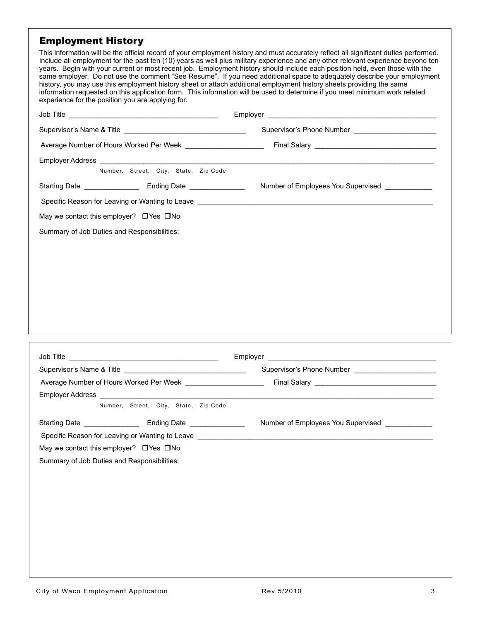#### Employment History

This information will be the official record of your employment history and must accurately reflect all significant duties performed. Include all employment for the past ten (10) years as well plus military experience and any other relevant experience beyond ten years. Begin with your current or most recent job. Employment history should include each position held, even those with the same employer. Do not use the comment "See Resume". If you need additional space to adequately describe your employment history, you may use this employment history sheet or attach additional employment history sheets providing the same information requested on this application form. This information will be used to determine if you meet minimum work related experience for the position you are applying for.

|                                                    | Supervisor's Phone Number ________________________                                                                                                                                                                             |
|----------------------------------------------------|--------------------------------------------------------------------------------------------------------------------------------------------------------------------------------------------------------------------------------|
|                                                    |                                                                                                                                                                                                                                |
| Number, Street, City, State, Zip Code              |                                                                                                                                                                                                                                |
|                                                    | Number of Employees You Supervised ____________                                                                                                                                                                                |
|                                                    | Specific Reason for Leaving or Wanting to Leave Leave Andrew Management and the Control of the Control of the Control of the Control of the Control of the Control of the Control of the Control of the Control of the Control |
| May we contact this employer? $\Box$ Yes $\Box$ No |                                                                                                                                                                                                                                |
| Summary of Job Duties and Responsibilities:        |                                                                                                                                                                                                                                |
|                                                    |                                                                                                                                                                                                                                |
|                                                    |                                                                                                                                                                                                                                |
|                                                    |                                                                                                                                                                                                                                |
|                                                    |                                                                                                                                                                                                                                |
|                                                    |                                                                                                                                                                                                                                |
|                                                    |                                                                                                                                                                                                                                |

|                                                                                                                                                                                                                                      | Supervisor's Phone Number ________________________ |
|--------------------------------------------------------------------------------------------------------------------------------------------------------------------------------------------------------------------------------------|----------------------------------------------------|
|                                                                                                                                                                                                                                      |                                                    |
|                                                                                                                                                                                                                                      |                                                    |
| Number, Street, City, State, Zip Code                                                                                                                                                                                                |                                                    |
|                                                                                                                                                                                                                                      | Number of Employees You Supervised ____________    |
| Specific Reason for Leaving or Wanting to Leave <b>contained a manufacture of the Contract Control of Contract Control of Contract Control of Control of Control of Control of Control of Control of Control of Control of Contr</b> |                                                    |
| May we contact this employer? $\Box$ Yes $\Box$ No                                                                                                                                                                                   |                                                    |
| Summary of Job Duties and Responsibilities:                                                                                                                                                                                          |                                                    |
|                                                                                                                                                                                                                                      |                                                    |
|                                                                                                                                                                                                                                      |                                                    |
|                                                                                                                                                                                                                                      |                                                    |
|                                                                                                                                                                                                                                      |                                                    |
|                                                                                                                                                                                                                                      |                                                    |
|                                                                                                                                                                                                                                      |                                                    |
|                                                                                                                                                                                                                                      |                                                    |
|                                                                                                                                                                                                                                      |                                                    |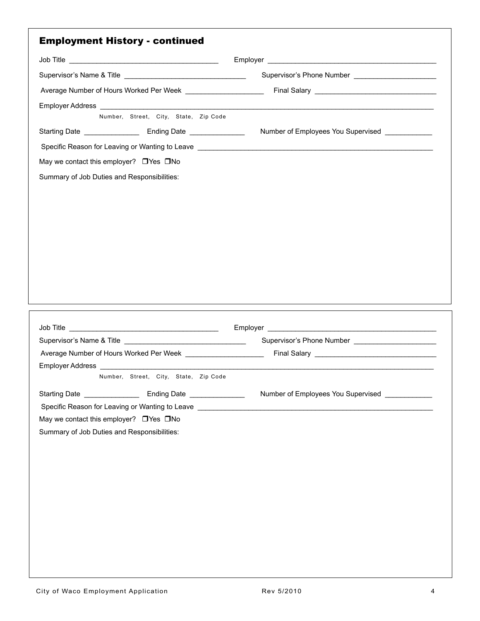|                                                                                                                           | Supervisor's Phone Number _______________________ |
|---------------------------------------------------------------------------------------------------------------------------|---------------------------------------------------|
|                                                                                                                           |                                                   |
|                                                                                                                           |                                                   |
| Number, Street, City, State, Zip Code                                                                                     |                                                   |
|                                                                                                                           | Number of Employees You Supervised ____________   |
|                                                                                                                           |                                                   |
| May we contact this employer? DYes DNo                                                                                    |                                                   |
| Summary of Job Duties and Responsibilities:                                                                               |                                                   |
|                                                                                                                           |                                                   |
|                                                                                                                           |                                                   |
|                                                                                                                           |                                                   |
|                                                                                                                           |                                                   |
|                                                                                                                           |                                                   |
|                                                                                                                           |                                                   |
|                                                                                                                           |                                                   |
|                                                                                                                           |                                                   |
|                                                                                                                           |                                                   |
|                                                                                                                           |                                                   |
|                                                                                                                           |                                                   |
|                                                                                                                           |                                                   |
|                                                                                                                           |                                                   |
|                                                                                                                           |                                                   |
|                                                                                                                           | Supervisor's Phone Number ______________________  |
|                                                                                                                           |                                                   |
|                                                                                                                           |                                                   |
| Employer Address<br>Number, Street, City, State, Zip Code                                                                 |                                                   |
|                                                                                                                           | Number of Employees You Supervised                |
| Specific Reason for Leaving or Wanting to Leave <u>example and the set of the set of the set of the set of the set of</u> |                                                   |
| May we contact this employer? DYes DNo                                                                                    |                                                   |
|                                                                                                                           |                                                   |
| Summary of Job Duties and Responsibilities:                                                                               |                                                   |
|                                                                                                                           |                                                   |
|                                                                                                                           |                                                   |
|                                                                                                                           |                                                   |
|                                                                                                                           |                                                   |
|                                                                                                                           |                                                   |
|                                                                                                                           |                                                   |
|                                                                                                                           |                                                   |
|                                                                                                                           |                                                   |
|                                                                                                                           |                                                   |
|                                                                                                                           |                                                   |
|                                                                                                                           |                                                   |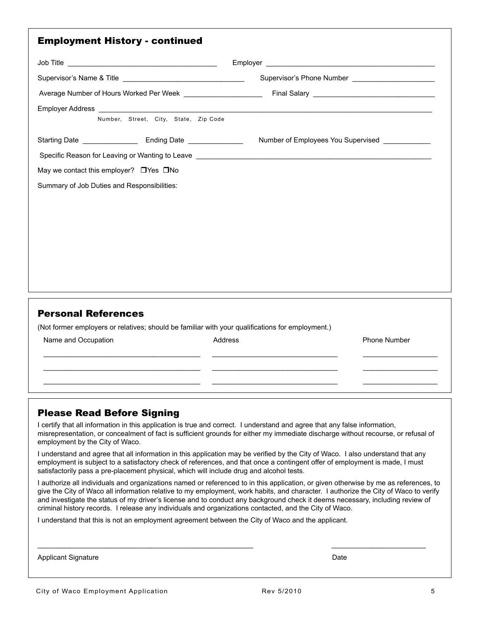| <b>Employment History - continued</b>                                                                                                                 |                                                                                            |
|-------------------------------------------------------------------------------------------------------------------------------------------------------|--------------------------------------------------------------------------------------------|
|                                                                                                                                                       |                                                                                            |
|                                                                                                                                                       | Supervisor's Phone Number<br><u> and</u> the manufacturer of the supervisor's Phone Number |
|                                                                                                                                                       |                                                                                            |
| Number, Street, City, State, Zip Code                                                                                                                 |                                                                                            |
|                                                                                                                                                       | Number of Employees You Supervised ____________                                            |
| May we contact this employer? $\Box$ Yes $\Box$ No<br>Summary of Job Duties and Responsibilities:                                                     |                                                                                            |
| <b>Personal References</b><br>(Not former employers or relatives; should be familiar with your qualifications for employment.)<br>Name and Occupation | Address<br><b>Phone Number</b>                                                             |

## Please Read Before Signing

I certify that all information in this application is true and correct. I understand and agree that any false information, misrepresentation, or concealment of fact is sufficient grounds for either my immediate discharge without recourse, or refusal of employment by the City of Waco.

 \_\_\_\_\_\_\_\_\_\_\_\_\_\_\_\_\_\_\_\_\_\_\_\_\_\_\_\_\_\_\_\_\_\_\_\_\_\_\_\_ \_\_\_\_\_\_\_\_\_\_\_\_\_\_\_\_\_\_\_\_\_\_\_\_\_\_\_\_\_\_\_\_ \_\_\_\_\_\_\_\_\_\_\_\_\_\_\_\_\_\_\_ \_\_\_\_\_\_\_\_\_\_\_\_\_\_\_\_\_\_\_\_\_\_\_\_\_\_\_\_\_\_\_\_\_\_\_\_\_\_\_\_ \_\_\_\_\_\_\_\_\_\_\_\_\_\_\_\_\_\_\_\_\_\_\_\_\_\_\_\_\_\_\_\_ \_\_\_\_\_\_\_\_\_\_\_\_\_\_\_\_\_\_\_ \_\_\_\_\_\_\_\_\_\_\_\_\_\_\_\_\_\_\_\_\_\_\_\_\_\_\_\_\_\_\_\_\_\_\_\_\_\_\_\_ \_\_\_\_\_\_\_\_\_\_\_\_\_\_\_\_\_\_\_\_\_\_\_\_\_\_\_\_\_\_\_\_ \_\_\_\_\_\_\_\_\_\_\_\_\_\_\_\_\_\_\_

I understand and agree that all information in this application may be verified by the City of Waco. I also understand that any employment is subject to a satisfactory check of references, and that once a contingent offer of employment is made, I must satisfactorily pass a pre-placement physical, which will include drug and alcohol tests.

\_\_\_\_\_\_\_\_\_\_\_\_\_\_\_\_\_\_\_\_\_\_\_\_\_\_\_\_\_\_\_\_\_\_\_\_\_\_\_\_\_\_\_\_\_\_\_\_\_\_\_\_\_\_\_ \_\_\_\_\_\_\_\_\_\_\_\_\_\_\_\_\_\_\_\_\_\_\_\_

I authorize all individuals and organizations named or referenced to in this application, or given otherwise by me as references, to give the City of Waco all information relative to my employment, work habits, and character. I authorize the City of Waco to verify and investigate the status of my driver's license and to conduct any background check it deems necessary, including review of criminal history records. I release any individuals and organizations contacted, and the City of Waco.

I understand that this is not an employment agreement between the City of Waco and the applicant.

Applicant Signature Date Date of the United States of the Date Date Date Date Date Date